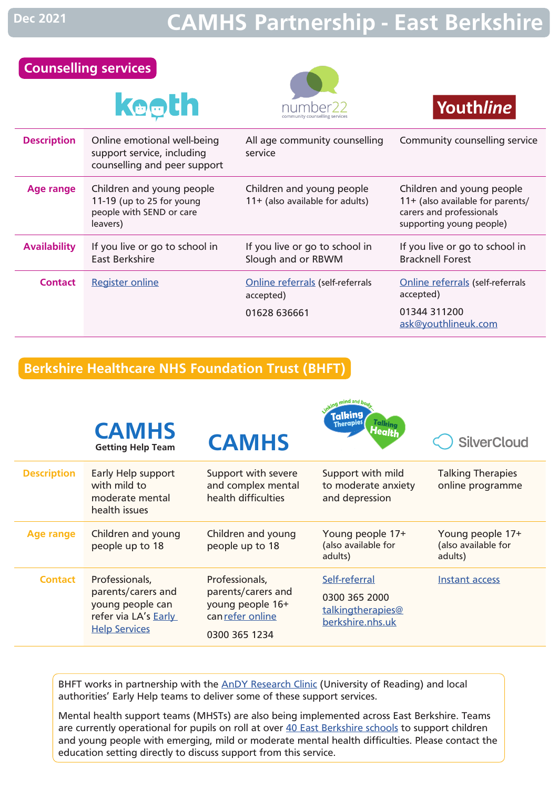# **CAMHS Partnership - East Berkshire**

#### **Counselling services**

# **keeth**





| <b>Description</b>  | Online emotional well-being<br>support service, including<br>counselling and peer support      | All age community counselling<br>service                     | Community counselling service                                                                                         |
|---------------------|------------------------------------------------------------------------------------------------|--------------------------------------------------------------|-----------------------------------------------------------------------------------------------------------------------|
| Age range           | Children and young people<br>11-19 (up to 25 for young<br>people with SEND or care<br>leavers) | Children and young people<br>11+ (also available for adults) | Children and young people<br>11+ (also available for parents/<br>carers and professionals<br>supporting young people) |
| <b>Availability</b> | If you live or go to school in<br>East Berkshire                                               | If you live or go to school in<br>Slough and or RBWM         | If you live or go to school in<br><b>Bracknell Forest</b>                                                             |
| <b>Contact</b>      | <b>Register online</b>                                                                         | Online referrals (self-referrals<br>accepted)                | Online referrals (self-referrals<br>accepted)                                                                         |
|                     |                                                                                                | 01628 636661                                                 | 01344 311200<br>ask@vouthlineuk.com                                                                                   |

#### **Berkshire Healthcare NHS Foundation Trust (BHFT)**

|                    | <b>CAMHS</b><br><b>Getting Help Team</b>                                                                 | <b>CAMHS</b>                                                                                  | n mind and<br>Talking<br><b>Therapie</b><br>Health                      | <b>SilverCloud</b>                                 |
|--------------------|----------------------------------------------------------------------------------------------------------|-----------------------------------------------------------------------------------------------|-------------------------------------------------------------------------|----------------------------------------------------|
| <b>Description</b> | Early Help support<br>with mild to<br>moderate mental<br>health issues                                   | Support with severe<br>and complex mental<br>health difficulties                              | Support with mild<br>to moderate anxiety<br>and depression              | <b>Talking Therapies</b><br>online programme       |
| <b>Age range</b>   | Children and young<br>people up to 18                                                                    | Children and young<br>people up to 18                                                         | Young people 17+<br>(also available for<br>adults)                      | Young people 17+<br>(also available for<br>adults) |
| <b>Contact</b>     | Professionals,<br>parents/carers and<br>young people can<br>refer via LA's Early<br><b>Help Services</b> | Professionals,<br>parents/carers and<br>young people 16+<br>can refer online<br>0300 365 1234 | Self-referral<br>0300 365 2000<br>talkingtherapies@<br>berkshire.nhs.uk | Instant access                                     |

BHFT works in partnership with the [AnDY Research Clinic](https://research.reading.ac.uk/andy/faqs/) (University of Reading) and local authorities' Early Help teams to deliver some of these support services.

Mental health support teams (MHSTs) are also being implemented across East Berkshire. Teams are currently operational for pupils on roll at [over 40 East Berkshire schools](https://cypf.berkshirehealthcare.nhs.uk/our-services/children-and-adolescent-mental-health-services-camhs/mental-health-support-and-getting-help-teams/) to support children and young people with emerging, mild or moderate mental health difficulties. Please contact the education setting directly to discuss support from this service.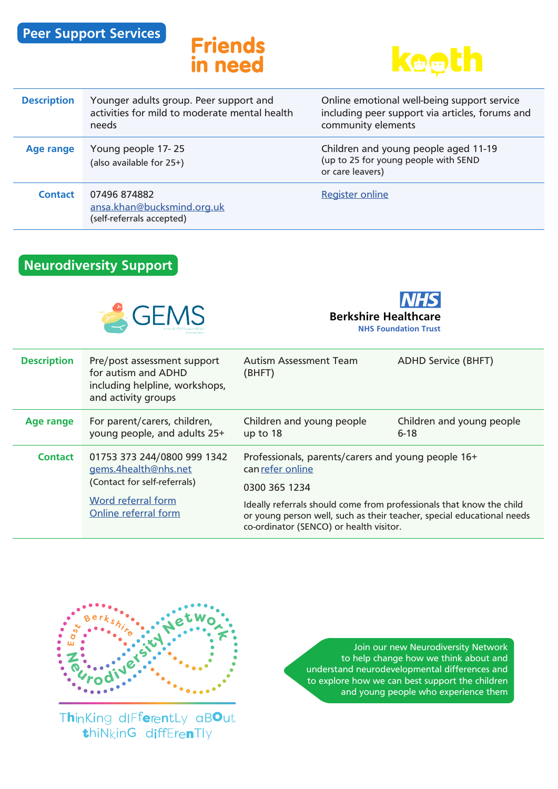



| <b>Description</b> | Younger adults group. Peer support and<br>activities for mild to moderate mental health<br>needs | Online emotional well-being support service<br>including peer support via articles, forums and<br>community elements |
|--------------------|--------------------------------------------------------------------------------------------------|----------------------------------------------------------------------------------------------------------------------|
| Age range          | Young people 17-25<br>(also available for 25+)                                                   | Children and young people aged 11-19<br>(up to 25 for young people with SEND<br>or care leavers)                     |
| <b>Contact</b>     | 07496 874882<br>ansa.khan@bucksmind.org.uk<br>(self-referrals accepted)                          | <b>Register online</b>                                                                                               |

## **Neurodiversity Support**





| <b>Description</b> | Pre/post assessment support<br>for autism and ADHD<br>including helpline, workshops,<br>and activity groups                       | <b>Autism Assessment Team</b><br>(BHFT)                                                                                                                                                                                                                                              | <b>ADHD Service (BHFT)</b>            |
|--------------------|-----------------------------------------------------------------------------------------------------------------------------------|--------------------------------------------------------------------------------------------------------------------------------------------------------------------------------------------------------------------------------------------------------------------------------------|---------------------------------------|
| <b>Age range</b>   | For parent/carers, children,<br>young people, and adults 25+                                                                      | Children and young people<br>up to 18                                                                                                                                                                                                                                                | Children and young people<br>$6 - 18$ |
| <b>Contact</b>     | 01753 373 244/0800 999 1342<br>gems.4health@nhs.net<br>(Contact for self-referrals)<br>Word referral form<br>Online referral form | Professionals, parents/carers and young people 16+<br>can refer online<br>0300 365 1234<br>Ideally referrals should come from professionals that know the child<br>or young person well, such as their teacher, special educational needs<br>co-ordinator (SENCO) or health visitor. |                                       |



ThinKing dIFferentLy aBOut t[hiN](https://adhdfoundation.org.uk/east-berkshire-neurodiversity-network/)kinG diffErenTly

Join our new Neurodiversity Network to help change how we think about and [understand neurodevelopmental differences and](https://adhdfoundation.org.uk/east-berkshire-neurodiversity-network/)  to explore how we can best support the children and young people who experience them